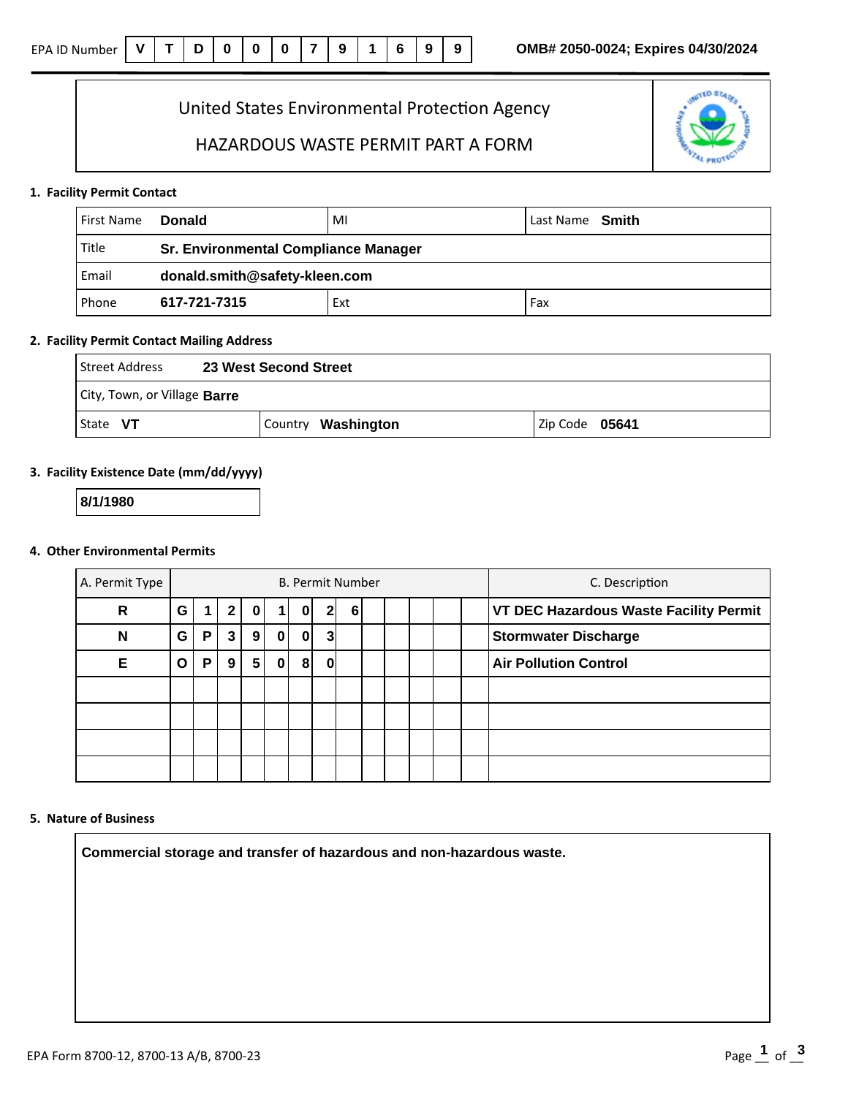# United States Environmental Protection Agency

## HAZARDOUS WASTE PERMIT PART A FORM

#### **1. Facility Permit Contact**

| First Name | <b>Donald</b>                               | MI  | Last Name <b>Smith</b> |  |  |  |  |  |  |  |  |  |
|------------|---------------------------------------------|-----|------------------------|--|--|--|--|--|--|--|--|--|
| Title      | <b>Sr. Environmental Compliance Manager</b> |     |                        |  |  |  |  |  |  |  |  |  |
| Email      | donald.smith@safety-kleen.com               |     |                        |  |  |  |  |  |  |  |  |  |
| Phone      | 617-721-7315                                | Ext | Fax                    |  |  |  |  |  |  |  |  |  |

#### **2. Facility Permit Contact Mailing Address**

| <b>Street Address</b>        | 23 West Second Street |                |  |  |  |  |  |  |  |  |  |  |
|------------------------------|-----------------------|----------------|--|--|--|--|--|--|--|--|--|--|
| City, Town, or Village Barre |                       |                |  |  |  |  |  |  |  |  |  |  |
| State VT                     | Country Washington    | Zip Code 05641 |  |  |  |  |  |  |  |  |  |  |

### **3. Facility Existence Date (mm/dd/yyyy)**

| 1/1980<br>8/ <sup>-</sup> |  |
|---------------------------|--|
|---------------------------|--|

#### **4. Other Environmental Permits**

| 8/1/1980                 |   |                         |              |                 |          |                |                |   |  |  |  |  |  |                                        |  |  |  |
|--------------------------|---|-------------------------|--------------|-----------------|----------|----------------|----------------|---|--|--|--|--|--|----------------------------------------|--|--|--|
| er Environmental Permits |   |                         |              |                 |          |                |                |   |  |  |  |  |  |                                        |  |  |  |
| A. Permit Type           |   | <b>B. Permit Number</b> |              |                 |          |                |                |   |  |  |  |  |  | C. Description                         |  |  |  |
| $\mathsf{R}$             | G |                         | $\mathbf{2}$ | 0               | 1        | 0              | $\mathbf{2}$   | 6 |  |  |  |  |  | VT DEC Hazardous Waste Facility Permit |  |  |  |
| $\mathbf N$              | G | P                       | 3            | 9               | $\bf{0}$ | $\mathbf{0}$   | $\overline{3}$ |   |  |  |  |  |  | <b>Stormwater Discharge</b>            |  |  |  |
| E                        | O | P                       | 9            | $5\phantom{.0}$ | $\bf{0}$ | 8 <sup>1</sup> | $\mathbf{0}$   |   |  |  |  |  |  | <b>Air Pollution Control</b>           |  |  |  |
|                          |   |                         |              |                 |          |                |                |   |  |  |  |  |  |                                        |  |  |  |
|                          |   |                         |              |                 |          |                |                |   |  |  |  |  |  |                                        |  |  |  |
|                          |   |                         |              |                 |          |                |                |   |  |  |  |  |  |                                        |  |  |  |
|                          |   |                         |              |                 |          |                |                |   |  |  |  |  |  |                                        |  |  |  |

#### **5. Nature of Business**

**Commercial storage and transfer of hazardous and non-hazardous waste.**

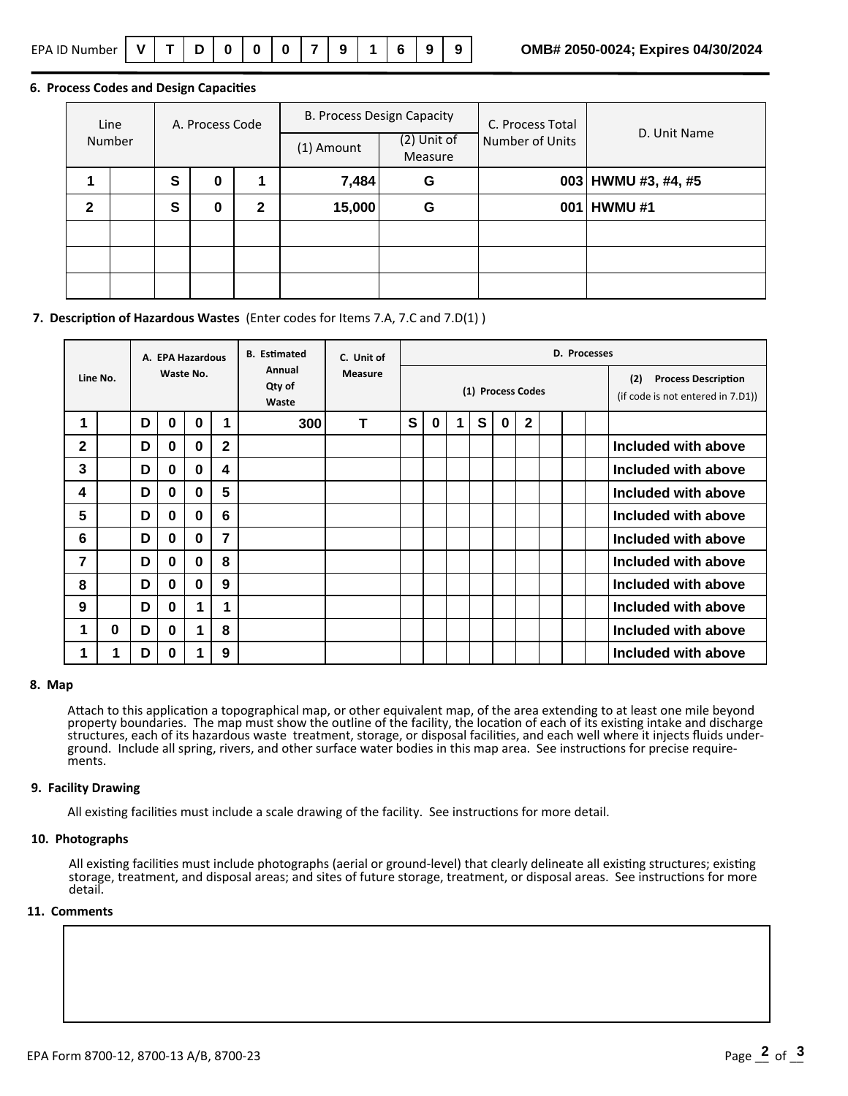**6. Process Codes and Design Capacities** 

| Line<br>Number |   | A. Process Code |              | (1) Amount | B. Process Design Capacity<br>$(2)$ Unit of<br>Measure | C. Process Total<br>Number of Units | D. Unit Name        |  |  |  |  |
|----------------|---|-----------------|--------------|------------|--------------------------------------------------------|-------------------------------------|---------------------|--|--|--|--|
|                | S | 0               |              | 7,484      | G                                                      |                                     | 003 HWMU #3, #4, #5 |  |  |  |  |
| 2              | S | 0               | $\mathbf{2}$ | 15,000     | G                                                      | 001                                 | HWMU#1              |  |  |  |  |
|                |   |                 |              |            |                                                        |                                     |                     |  |  |  |  |
|                |   |                 |              |            |                                                        |                                     |                     |  |  |  |  |
|                |   |                 |              |            |                                                        |                                     |                     |  |  |  |  |

#### **7. Description of Hazardous Wastes** (Enter codes for Items 7.A, 7.C and 7.D(1))

| Line No.     |          |   | A. EPA Hazardous |          |             | <b>B.</b> Estimated<br>Annual<br>Qty of<br>Waste | C. Unit of<br><b>Measure</b> | D. Processes |          |  |                   |          |              |                                                                        |  |  |                     |
|--------------|----------|---|------------------|----------|-------------|--------------------------------------------------|------------------------------|--------------|----------|--|-------------------|----------|--------------|------------------------------------------------------------------------|--|--|---------------------|
|              |          |   | Waste No.        |          |             |                                                  |                              |              |          |  | (1) Process Codes |          |              | <b>Process Description</b><br>(2)<br>(if code is not entered in 7.D1)) |  |  |                     |
| 1            |          | D | $\bf{0}$         | $\bf{0}$ | 1           | 300                                              | т                            | S            | $\bf{0}$ |  | S                 | $\bf{0}$ | $\mathbf{2}$ |                                                                        |  |  |                     |
| $\mathbf{2}$ |          | D | $\bf{0}$         | 0        | $\mathbf 2$ |                                                  |                              |              |          |  |                   |          |              |                                                                        |  |  | Included with above |
| 3            |          | D | $\bf{0}$         | $\bf{0}$ | 4           |                                                  |                              |              |          |  |                   |          |              |                                                                        |  |  | Included with above |
| 4            |          | D | $\mathbf 0$      | $\bf{0}$ | 5           |                                                  |                              |              |          |  |                   |          |              |                                                                        |  |  | Included with above |
| 5            |          | D | $\bf{0}$         | $\bf{0}$ | 6           |                                                  |                              |              |          |  |                   |          |              |                                                                        |  |  | Included with above |
| 6            |          | D | 0                | $\bf{0}$ | 7           |                                                  |                              |              |          |  |                   |          |              |                                                                        |  |  | Included with above |
| 7            |          | D | $\mathbf 0$      | $\bf{0}$ | 8           |                                                  |                              |              |          |  |                   |          |              |                                                                        |  |  | Included with above |
| 8            |          | D | $\bf{0}$         | $\bf{0}$ | 9           |                                                  |                              |              |          |  |                   |          |              |                                                                        |  |  | Included with above |
| 9            |          | D | $\bf{0}$         | 1        | 1           |                                                  |                              |              |          |  |                   |          |              |                                                                        |  |  | Included with above |
| 1            | $\bf{0}$ | D | $\bf{0}$         | 1        | 8           |                                                  |                              |              |          |  |                   |          |              |                                                                        |  |  | Included with above |
| 1            |          | D | 0                |          | 9           |                                                  |                              |              |          |  |                   |          |              |                                                                        |  |  | Included with above |

#### **8. Map**

Attach to this application a topographical map, or other equivalent map, of the area extending to at least one mile beyond property boundaries. The map must show the outline of the facility, the location of each of its existing intake and discharge structures, each of its hazardous waste treatment, storage, or disposal facilities, and each well where it injects fluids under-<br>ground. Include all spring, rivers, and other surface water bodies in this map area. See inst

#### **9. Facility Drawing**

All existing facilities must include a scale drawing of the facility. See instructions for more detail.

#### **10. Photographs**

All existing facilities must include photographs (aerial or ground-level) that clearly delineate all existing structures; existing storage, treatment, and disposal areas; and sites of future storage, treatment, or disposal areas. See instructions for more detail.

#### **11. Comments**

# EPA ID Number  $|V|T|D|0|0|0|7|9|16|9$